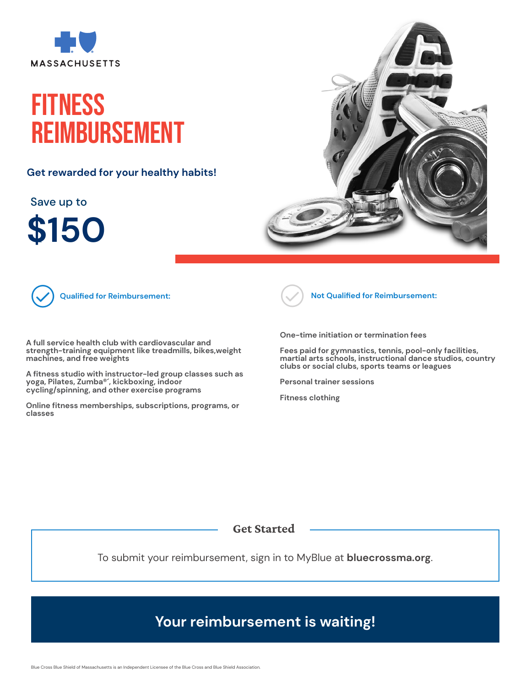

## **FITNESS REIMBURSEMENT**

Get rewarded for your healthy habits! **Get rewarded for your healthy habits!**

Save up to

 $$150$ 





**Qualified for Reimbursement:**

.<br>A full service health club with cardiovascular and A full service nealth club with cardiovascular and<br>strength-training equipment like treadmills, bikes,weight<br>machines, and free weights **machines, and free weights**

spinning, and other exercise programs A fitness studio with instructor–led group clas<br>yoga, Pilates, Zumba®´, kickboxing, indoor<br>cycling/spinning, and other exercise program **A fitness studio with instructor-led group classes such as cycling/spinning, and other exercise programs**

• Cardiovascular and strength-training equipment for fitness that is purchased for use in the home, such as **Online fitness memberships, subscriptions, programs, or** stationary bikes, weights, weights, exercise bands, treadmills, treadmills, treadmills, treadmills, treadmills, treadmills, treadmills, treadmills, treadmills, treadmills, treadmills, treadmills, treadmills, treadmills, tr **classes**



**Not Qualified for Reimbursement:**

• Fees paid for gymnastics, tennis, pool-only facilities, **One-time initiation or termination fees** martial artist schools, instructional dance studios, countries studios, countries studios, countries and countries

Fees paid for gymnastics, tennis, pool-only facilities, martial arts schools, instructional dance stud<br>clubs or social clubs, sports teams or leagues **martial arts schools, instructional dance studios, country**

• Fitness clothing **Personal trainer sessions**

**Fitness clothing**

Get Started

To submit your reimbursement, sign in to MyBlue at **[bluecrossma.org](https://member.bluecrossma.com/fitness-and-weightloss)**.

## **Your reimbursement is waiting!**

Blue Cross Blue Shield of Massachusetts is an Independent Licensee of the Blue Cross and Blue Shield Association.